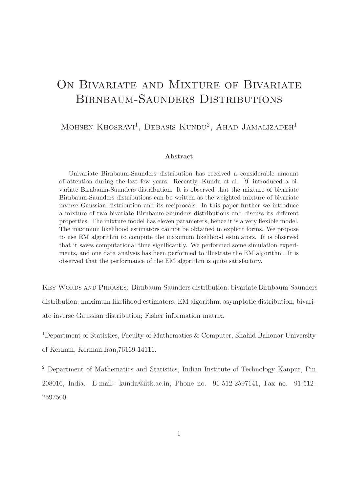# ON BIVARIATE AND MIXTURE OF BIVARIATE Birnbaum-Saunders Distributions

### MOHSEN KHOSRAVI<sup>1</sup>, DEBASIS KUNDU<sup>2</sup>, AHAD JAMALIZADEH<sup>1</sup>

#### Abstract

Univariate Birnbaum-Saunders distribution has received a considerable amount of attention during the last few years. Recently, Kundu et al. [9] introduced a bivariate Birnbaum-Saunders distribution. It is observed that the mixture of bivariate Birnbaum-Saunders distributions can be written as the weighted mixture of bivariate inverse Gaussian distribution and its reciprocals. In this paper further we introduce a mixture of two bivariate Birnbaum-Saunders distributions and discuss its different properties. The mixture model has eleven parameters, hence it is a very flexible model. The maximum likelihood estimators cannot be obtained in explicit forms. We propose to use EM algorithm to compute the maximum likelihood estimators. It is observed that it saves computational time significantly. We performed some simulation experiments, and one data analysis has been performed to illustrate the EM algorithm. It is observed that the performance of the EM algorithm is quite satisfactory.

Key Words and Phrases: Birnbaum-Saunders distribution; bivariate Birnbaum-Saunders distribution; maximum likelihood estimators; EM algorithm; asymptotic distribution; bivariate inverse Gaussian distribution; Fisher information matrix.

<sup>1</sup>Department of Statistics, Faculty of Mathematics & Computer, Shahid Bahonar University of Kerman, Kerman,Iran,76169-14111.

<sup>2</sup> Department of Mathematics and Statistics, Indian Institute of Technology Kanpur, Pin 208016, India. E-mail: kundu@iitk.ac.in, Phone no. 91-512-2597141, Fax no. 91-512- 2597500.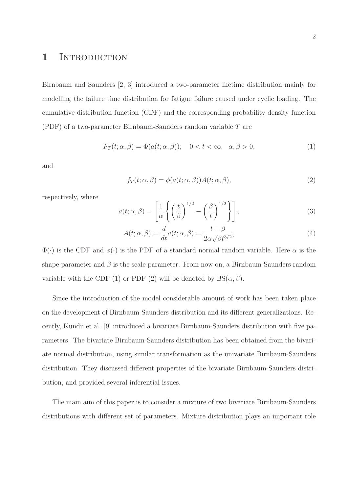### 1 INTRODUCTION

Birnbaum and Saunders [2, 3] introduced a two-parameter lifetime distribution mainly for modelling the failure time distribution for fatigue failure caused under cyclic loading. The cumulative distribution function (CDF) and the corresponding probability density function (PDF) of a two-parameter Birnbaum-Saunders random variable T are

$$
F_T(t; \alpha, \beta) = \Phi(a(t; \alpha, \beta)); \quad 0 < t < \infty, \quad \alpha, \beta > 0,\tag{1}
$$

and

$$
f_T(t; \alpha, \beta) = \phi(a(t; \alpha, \beta))A(t; \alpha, \beta), \qquad (2)
$$

respectively, where

$$
a(t; \alpha, \beta) = \left[\frac{1}{\alpha} \left\{ \left(\frac{t}{\beta}\right)^{1/2} - \left(\frac{\beta}{t}\right)^{1/2} \right\} \right],
$$
\n(3)

$$
A(t; \alpha, \beta) = \frac{d}{dt} a(t; \alpha, \beta) = \frac{t + \beta}{2\alpha\sqrt{\beta}t^{3/2}},
$$
\n(4)

 $\Phi(\cdot)$  is the CDF and  $\phi(\cdot)$  is the PDF of a standard normal random variable. Here  $\alpha$  is the shape parameter and  $\beta$  is the scale parameter. From now on, a Birnbaum-Saunders random variable with the CDF (1) or PDF (2) will be denoted by  $BS(\alpha, \beta)$ .

Since the introduction of the model considerable amount of work has been taken place on the development of Birnbaum-Saunders distribution and its different generalizations. Recently, Kundu et al. [9] introduced a bivariate Birnbaum-Saunders distribution with five parameters. The bivariate Birnbaum-Saunders distribution has been obtained from the bivariate normal distribution, using similar transformation as the univariate Birnbaum-Saunders distribution. They discussed different properties of the bivariate Birnbaum-Saunders distribution, and provided several inferential issues.

The main aim of this paper is to consider a mixture of two bivariate Birnbaum-Saunders distributions with different set of parameters. Mixture distribution plays an important role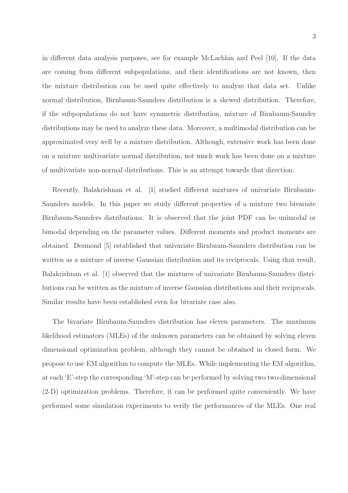in different data analysis purposes, see for example McLachlan and Peel [10]. If the data are coming from different subpopulations, and their identifications are not known, then the mixture distribution can be used quite effectively to analyze that data set. Unlike normal distribution, Birnbaum-Saunders distribution is a skewed distribution. Therefore, if the subpopulations do not have symmetric distribution, mixture of Birnbaum-Saunder distributions may be used to analyze these data. Moreover, a multimodal distribution can be approximated very well by a mixture distribution. Although, extensive work has been done on a mixture multivariate normal distribution, not much work has been done on a mixture of multivariate non-normal distributions. This is an attempt towards that direction.

Recently, Balakrishnan et al. [1] studied different mixtures of univariate Birnbaum-Saunders models. In this paper we study different properties of a mixture two bivariate Birnbaum-Saunders distributions. It is observed that the joint PDF can be unimodal or bimodal depending on the parameter values. Different moments and product moments are obtained. Desmond [5] established that univariate Birnbaum-Saunders distribution can be written as a mixture of inverse Gaussian distribution and its reciprocals. Using that result, Balakrishnan et al. [1] observed that the mixtures of univariate Birnbaum-Saunders distributions can be written as the mixture of inverse Gaussian distributions and their reciprocals. Similar results have been established even for bivariate case also.

The bivariate Birnbaum-Saunders distribution has eleven parameters. The maximum likelihood estimators (MLEs) of the unknown parameters can be obtained by solving eleven dimensional optimization problem, although they cannot be obtained in closed form. We propose to use EM algorithm to compute the MLEs. While implementing the EM algorithm, at each 'E'-step the corresponding 'M'-step can be performed by solving two two-dimensional (2-D) optimization problems. Therefore, it can be performed quite conveniently. We have performed some simulation experiments to verify the performances of the MLEs. One real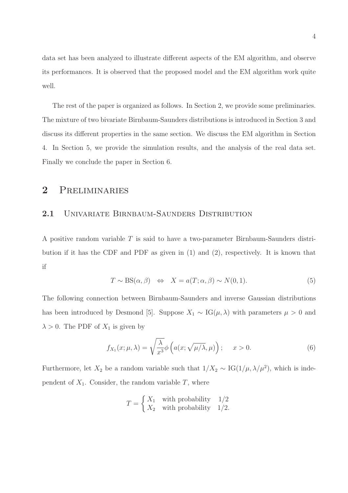data set has been analyzed to illustrate different aspects of the EM algorithm, and observe its performances. It is observed that the proposed model and the EM algorithm work quite well.

The rest of the paper is organized as follows. In Section 2, we provide some preliminaries. The mixture of two bivariate Birnbaum-Saunders distributions is introduced in Section 3 and discuss its different properties in the same section. We discuss the EM algorithm in Section 4. In Section 5, we provide the simulation results, and the analysis of the real data set. Finally we conclude the paper in Section 6.

### 2 Preliminaries

#### 2.1 UNIVARIATE BIRNBAUM-SAUNDERS DISTRIBUTION

A positive random variable T is said to have a two-parameter Birnbaum-Saunders distribution if it has the CDF and PDF as given in (1) and (2), respectively. It is known that if

$$
T \sim \text{BS}(\alpha, \beta) \iff X = a(T; \alpha, \beta) \sim N(0, 1). \tag{5}
$$

The following connection between Birnbaum-Saunders and inverse Gaussian distributions has been introduced by Desmond [5]. Suppose  $X_1 \sim \text{IG}(\mu, \lambda)$  with parameters  $\mu > 0$  and  $\lambda > 0$ . The PDF of  $X_1$  is given by

$$
f_{X_1}(x; \mu, \lambda) = \sqrt{\frac{\lambda}{x^3}} \phi\left(a(x; \sqrt{\mu/\lambda}, \mu)\right); \quad x > 0.
$$
 (6)

Furthermore, let  $X_2$  be a random variable such that  $1/X_2 \sim IG(1/\mu, \lambda/\mu^2)$ , which is independent of  $X_1$ . Consider, the random variable  $T$ , where

$$
T = \begin{cases} X_1 & \text{with probability} \quad 1/2\\ X_2 & \text{with probability} \quad 1/2. \end{cases}
$$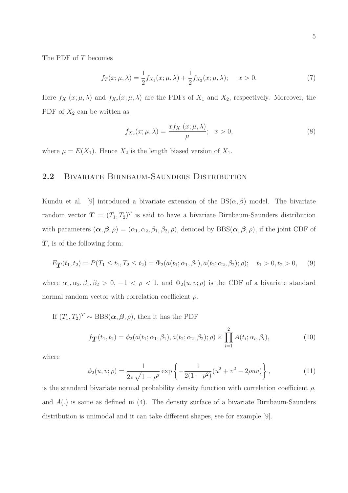The PDF of T becomes

$$
f_T(x; \mu, \lambda) = \frac{1}{2} f_{X_1}(x; \mu, \lambda) + \frac{1}{2} f_{X_2}(x; \mu, \lambda); \quad x > 0.
$$
 (7)

Here  $f_{X_1}(x; \mu, \lambda)$  and  $f_{X_2}(x; \mu, \lambda)$  are the PDFs of  $X_1$  and  $X_2$ , respectively. Moreover, the PDF of  $X_2$  can be written as

$$
f_{X_2}(x;\mu,\lambda) = \frac{x f_{X_1}(x;\mu,\lambda)}{\mu}; \quad x > 0,
$$
\n(8)

where  $\mu = E(X_1)$ . Hence  $X_2$  is the length biased version of  $X_1$ .

#### 2.2 BIVARIATE BIRNBAUM-SAUNDERS DISTRIBUTION

Kundu et al. [9] introduced a bivariate extension of the  $BS(\alpha, \beta)$  model. The bivariate random vector  $\boldsymbol{T} = (T_1, T_2)^T$  is said to have a bivariate Birnbaum-Saunders distribution with parameters  $(\alpha, \beta, \rho) = (\alpha_1, \alpha_2, \beta_1, \beta_2, \rho)$ , denoted by BBS $(\alpha, \beta, \rho)$ , if the joint CDF of  $T$ , is of the following form;

$$
F_{\mathbf{T}}(t_1, t_2) = P(T_1 \le t_1, T_2 \le t_2) = \Phi_2(a(t_1; \alpha_1, \beta_1), a(t_2; \alpha_2, \beta_2); \rho); \quad t_1 > 0, t_2 > 0,
$$
 (9)

where  $\alpha_1, \alpha_2, \beta_1, \beta_2 > 0, -1 < \rho < 1$ , and  $\Phi_2(u, v; \rho)$  is the CDF of a bivariate standard normal random vector with correlation coefficient  $\rho$ .

If  $(T_1, T_2)^T \sim \text{BBS}(\boldsymbol{\alpha}, \boldsymbol{\beta}, \rho)$ , then it has the PDF

$$
f_{\mathbf{T}}(t_1, t_2) = \phi_2(a(t_1; \alpha_1, \beta_1), a(t_2; \alpha_2, \beta_2); \rho) \times \prod_{i=1}^2 A(t_i; \alpha_i, \beta_i), \qquad (10)
$$

where

$$
\phi_2(u, v; \rho) = \frac{1}{2\pi\sqrt{1 - \rho^2}} \exp\left\{-\frac{1}{2(1 - \rho^2)}(u^2 + v^2 - 2\rho uv)\right\},\tag{11}
$$

is the standard bivariate normal probability density function with correlation coefficient  $\rho$ , and  $A(.)$  is same as defined in  $(4)$ . The density surface of a bivariate Birnbaum-Saunders distribution is unimodal and it can take different shapes, see for example [9].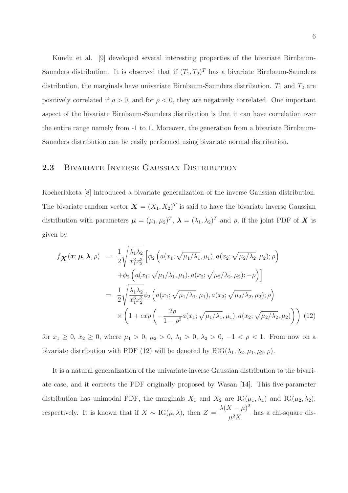Kundu et al. [9] developed several interesting properties of the bivariate Birnbaum-Saunders distribution. It is observed that if  $(T_1, T_2)^T$  has a bivariate Birnbaum-Saunders distribution, the marginals have univariate Birnbaum-Saunders distribution.  $T_1$  and  $T_2$  are positively correlated if  $\rho > 0$ , and for  $\rho < 0$ , they are negatively correlated. One important aspect of the bivariate Birnbaum-Saunders distribution is that it can have correlation over the entire range namely from -1 to 1. Moreover, the generation from a bivariate Birnbaum-Saunders distribution can be easily performed using bivariate normal distribution.

### 2.3 Bivariate Inverse Gaussian Distribution

Kocherlakota [8] introduced a bivariate generalization of the inverse Gaussian distribution. The bivariate random vector  $\mathbf{X} = (X_1, X_2)^T$  is said to have the bivariate inverse Gaussian distribution with parameters  $\boldsymbol{\mu} = (\mu_1, \mu_2)^T$ ,  $\boldsymbol{\lambda} = (\lambda_1, \lambda_2)^T$  and  $\rho$ , if the joint PDF of X is given by

$$
f_{\mathbf{X}}(\boldsymbol{x}; \boldsymbol{\mu}, \boldsymbol{\lambda}, \rho) = \frac{1}{2} \sqrt{\frac{\lambda_1 \lambda_2}{x_1^3 x_2^3}} \left[ \phi_2 \left( a(x_1; \sqrt{\mu_1/\lambda_1}, \mu_1), a(x_2; \sqrt{\mu_2/\lambda_2}, \mu_2); \rho \right) \right. \left. + \phi_2 \left( a(x_1; \sqrt{\mu_1/\lambda_1}, \mu_1), a(x_2; \sqrt{\mu_2/\lambda_2}, \mu_2); -\rho \right) \right] = \frac{1}{2} \sqrt{\frac{\lambda_1 \lambda_2}{x_1^3 x_2^3}} \phi_2 \left( a(x_1; \sqrt{\mu_1/\lambda_1}, \mu_1), a(x_2; \sqrt{\mu_2/\lambda_2}, \mu_2); \rho \right) \times \left( 1 + exp \left( -\frac{2\rho}{1 - \rho^2} a(x_1; \sqrt{\mu_1/\lambda_1}, \mu_1), a(x_2; \sqrt{\mu_2/\lambda_2}, \mu_2) \right) \right) (12)
$$

for  $x_1 \geq 0$ ,  $x_2 \geq 0$ , where  $\mu_1 > 0$ ,  $\mu_2 > 0$ ,  $\lambda_1 > 0$ ,  $\lambda_2 > 0$ ,  $-1 < \rho < 1$ . From now on a bivariate distribution with PDF (12) will be denoted by  $BIG(\lambda_1, \lambda_2, \mu_1, \mu_2, \rho)$ .

It is a natural generalization of the univariate inverse Gaussian distribution to the bivariate case, and it corrects the PDF originally proposed by Wasan [14]. This five-parameter distribution has unimodal PDF, the marginals  $X_1$  and  $X_2$  are IG( $\mu_1, \lambda_1$ ) and IG( $\mu_2, \lambda_2$ ), respectively. It is known that if  $X \sim IG(\mu, \lambda)$ , then  $Z =$  $\lambda(X-\mu)^2$  $\frac{1-\mu}{\mu^2 X}$  has a chi-square dis-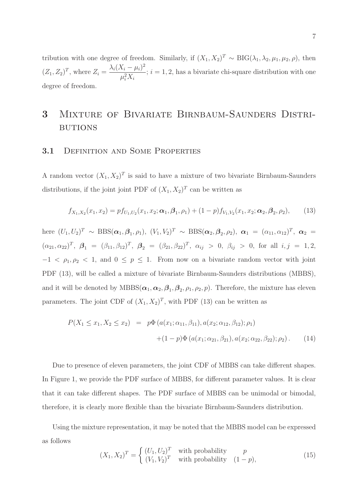tribution with one degree of freedom. Similarly, if  $(X_1, X_2)^T \sim \text{BIG}(\lambda_1, \lambda_2, \mu_1, \mu_2, \rho)$ , then  $(Z_1, Z_2)^T$ , where  $Z_i = \frac{\lambda_i (X_i - \mu_i)^2}{\mu_i^2 Y}$  $\mu_i^2 X_i$  $; i = 1, 2$ , has a bivariate chi-square distribution with one degree of freedom.

# 3 Mixture of Bivariate Birnbaum-Saunders Distri-**BUTIONS**

#### **3.1 DEFINITION AND SOME PROPERTIES**

A random vector  $(X_1, X_2)^T$  is said to have a mixture of two bivariate Birnbaum-Saunders distributions, if the joint joint PDF of  $(X_1, X_2)^T$  can be written as

$$
f_{X_1,X_2}(x_1,x_2) = pf_{U_1,U_2}(x_1,x_2;\boldsymbol{\alpha}_1,\boldsymbol{\beta}_1,\rho_1) + (1-p)f_{V_1,V_2}(x_1,x_2;\boldsymbol{\alpha}_2,\boldsymbol{\beta}_2,\rho_2),
$$
(13)

here  $(U_1, U_2)^T \sim \text{BBS}(\alpha_1, \beta_1, \rho_1), (V_1, V_2)^T \sim \text{BBS}(\alpha_2, \beta_2, \rho_2), \alpha_1 = (\alpha_{11}, \alpha_{12})^T, \alpha_2 =$  $(\alpha_{21}, \alpha_{22})^T$ ,  $\beta_1 = (\beta_{11}, \beta_{12})^T$ ,  $\beta_2 = (\beta_{21}, \beta_{22})^T$ ,  $\alpha_{ij} > 0$ ,  $\beta_{ij} > 0$ , for all  $i, j = 1, 2$ ,  $-1 < \rho_1, \rho_2 < 1$ , and  $0 \le p \le 1$ . From now on a bivariate random vector with joint PDF (13), will be called a mixture of bivariate Birnbaum-Saunders distributions (MBBS), and it will be denoted by  $MBBS(\alpha_1, \alpha_2, \beta_1, \beta_2, \rho_1, \rho_2, p)$ . Therefore, the mixture has eleven parameters. The joint CDF of  $(X_1, X_2)^T$ , with PDF (13) can be written as

$$
P(X_1 \le x_1, X_2 \le x_2) = p\Phi(a(x_1; \alpha_{11}, \beta_{11}), a(x_2; \alpha_{12}, \beta_{12}); \rho_1) + (1 - p)\Phi(a(x_1; \alpha_{21}, \beta_{21}), a(x_2; \alpha_{22}, \beta_{22}); \rho_2).
$$
 (14)

Due to presence of eleven parameters, the joint CDF of MBBS can take different shapes. In Figure 1, we provide the PDF surface of MBBS, for different parameter values. It is clear that it can take different shapes. The PDF surface of MBBS can be unimodal or bimodal, therefore, it is clearly more flexible than the bivariate Birnbaum-Saunders distribution.

Using the mixture representation, it may be noted that the MBBS model can be expressed as follows

$$
(X_1, X_2)^T = \begin{cases} (U_1, U_2)^T & \text{with probability} \\ (V_1, V_2)^T & \text{with probability} \\ (1 - p), \end{cases}
$$
 (15)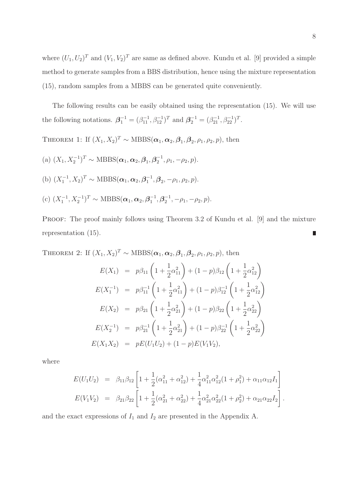where  $(U_1, U_2)^T$  and  $(V_1, V_2)^T$  are same as defined above. Kundu et al. [9] provided a simple method to generate samples from a BBS distribution, hence using the mixture representation (15), random samples from a MBBS can be generated quite conveniently.

The following results can be easily obtained using the representation (15). We will use the following notations.  $\mathbf{\beta}_1^{-1} = (\beta_{11}^{-1}, \beta_{12}^{-1})^T$  and  $\mathbf{\beta}_2^{-1} = (\beta_{21}^{-1}, \beta_{22}^{-1})^T$ .

THEOREM 1: If  $(X_1, X_2)^T \sim \text{MBBS}(\boldsymbol{\alpha}_1, \boldsymbol{\alpha}_2, \boldsymbol{\beta}_1, \boldsymbol{\beta}_2, \rho_1, \rho_2, p)$ , then

- (a)  $(X_1, X_2^{-1})^T \sim \text{MBBS}(\alpha_1, \alpha_2, \beta_1, \beta_2^{-1})$  $\frac{-1}{2}, \rho_1, -\rho_2, p$ . (b)  $(X_1^{-1}, X_2)^T \sim \text{MBBS}(\alpha_1, \alpha_2, \beta_1^{-1})$  $_1^{-1}, \beta_2, -\rho_1, \rho_2, p).$
- (c)  $(X_1^{-1}, X_2^{-1})^T \sim \text{MBBS}(\alpha_1, \alpha_2, \beta_1^{-1})$  $\overline{1}^{1}, \overline{\beta}_{2}^{-1}$  $\frac{-1}{2}, -\rho_1, -\rho_2, p$ .

PROOF: The proof mainly follows using Theorem 3.2 of Kundu et al. [9] and the mixture representation (15).

THEOREM 2: If  $(X_1, X_2)^T \sim \text{MBBS}(\boldsymbol{\alpha}_1, \boldsymbol{\alpha}_2, \boldsymbol{\beta}_1, \boldsymbol{\beta}_2, \rho_1, \rho_2, p)$ , then

$$
E(X_1) = p\beta_{11}\left(1 + \frac{1}{2}\alpha_{11}^2\right) + (1 - p)\beta_{12}\left(1 + \frac{1}{2}\alpha_{12}^2\right)
$$
  
\n
$$
E(X_1^{-1}) = p\beta_{11}^{-1}\left(1 + \frac{1}{2}\alpha_{11}^2\right) + (1 - p)\beta_{12}^{-1}\left(1 + \frac{1}{2}\alpha_{12}^2\right)
$$
  
\n
$$
E(X_2) = p\beta_{21}\left(1 + \frac{1}{2}\alpha_{21}^2\right) + (1 - p)\beta_{22}\left(1 + \frac{1}{2}\alpha_{22}^2\right)
$$
  
\n
$$
E(X_2^{-1}) = p\beta_{21}^{-1}\left(1 + \frac{1}{2}\alpha_{21}^2\right) + (1 - p)\beta_{22}^{-1}\left(1 + \frac{1}{2}\alpha_{22}^2\right)
$$
  
\n
$$
E(X_1X_2) = pE(U_1U_2) + (1 - p)E(V_1V_2),
$$

where

$$
E(U_1U_2) = \beta_{11}\beta_{12} \left[ 1 + \frac{1}{2}(\alpha_{11}^2 + \alpha_{12}^2) + \frac{1}{4}\alpha_{11}^2\alpha_{12}^2(1 + \rho_1^2) + \alpha_{11}\alpha_{12}I_1 \right]
$$
  

$$
E(V_1V_2) = \beta_{21}\beta_{22} \left[ 1 + \frac{1}{2}(\alpha_{21}^2 + \alpha_{22}^2) + \frac{1}{4}\alpha_{21}^2\alpha_{22}^2(1 + \rho_2^2) + \alpha_{21}\alpha_{22}I_2 \right].
$$

and the exact expressions of  $I_1$  and  $I_2$  are presented in the Appendix A.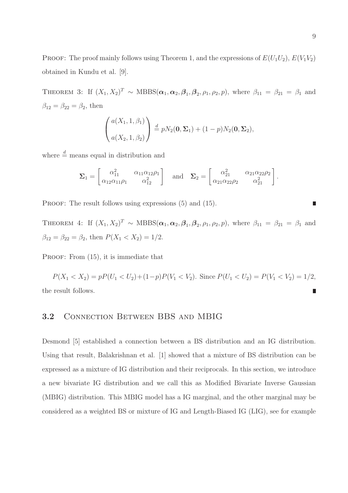PROOF: The proof mainly follows using Theorem 1, and the expressions of  $E(U_1U_2)$ ,  $E(V_1V_2)$ obtained in Kundu et al. [9].

THEOREM 3: If  $(X_1, X_2)^T \sim \text{MBBS}(\boldsymbol{\alpha}_1, \boldsymbol{\alpha}_2, \boldsymbol{\beta}_1, \boldsymbol{\beta}_2, \rho_1, \rho_2, p)$ , where  $\beta_{11} = \beta_{21} = \beta_1$  and  $\beta_{12}=\beta_{22}=\beta_2,$  then

$$
\begin{pmatrix} a(X_1, 1, \beta_1) \\ a(X_2, 1, \beta_2) \end{pmatrix} \stackrel{d}{=} pN_2(\mathbf{0}, \Sigma_1) + (1 - p)N_2(\mathbf{0}, \Sigma_2),
$$

where  $\stackrel{d}{=}$  means equal in distribution and

$$
\Sigma_1 = \begin{bmatrix} \alpha_{11}^2 & \alpha_{11} \alpha_{12} \rho_1 \\ \alpha_{12} \alpha_{11} \rho_1 & \alpha_{12}^2 \end{bmatrix} \text{ and } \Sigma_2 = \begin{bmatrix} \alpha_{21}^2 & \alpha_{21} \alpha_{22} \rho_2 \\ \alpha_{21} \alpha_{22} \rho_2 & \alpha_{21}^2 \end{bmatrix}.
$$

PROOF: The result follows using expressions  $(5)$  and  $(15)$ .

THEOREM 4: If  $(X_1, X_2)^T \sim \text{MBBS}(\boldsymbol{\alpha}_1, \boldsymbol{\alpha}_2, \boldsymbol{\beta}_1, \boldsymbol{\beta}_2, \rho_1, \rho_2, p)$ , where  $\beta_{11} = \beta_{21} = \beta_1$  and  $\beta_{12} = \beta_{22} = \beta_2$ , then  $P(X_1 < X_2) = 1/2$ .

PROOF: From  $(15)$ , it is immediate that

$$
P(X_1 < X_2) = pP(U_1 < U_2) + (1 - p)P(V_1 < V_2). \text{ Since } P(U_1 < U_2) = P(V_1 < V_2) = 1/2,
$$
\nthe result follows.

#### 3.2 Connection Between BBS and MBIG

Desmond [5] established a connection between a BS distribution and an IG distribution. Using that result, Balakrishnan et al. [1] showed that a mixture of BS distribution can be expressed as a mixture of IG distribution and their reciprocals. In this section, we introduce a new bivariate IG distribution and we call this as Modified Bivariate Inverse Gaussian (MBIG) distribution. This MBIG model has a IG marginal, and the other marginal may be considered as a weighted BS or mixture of IG and Length-Biased IG (LIG), see for example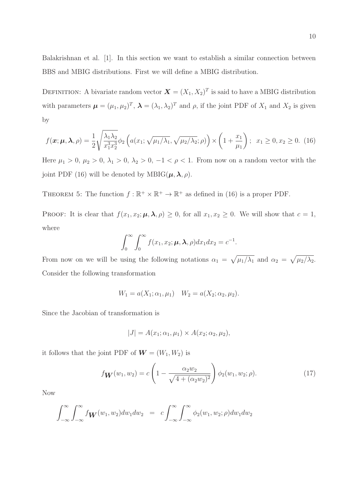Balakrishnan et al. [1]. In this section we want to establish a similar connection between BBS and MBIG distributions. First we will define a MBIG distribution.

DEFINITION: A bivariate random vector  $\mathbf{X} = (X_1, X_2)^T$  is said to have a MBIG distribution with parameters  $\boldsymbol{\mu} = (\mu_1, \mu_2)^T$ ,  $\boldsymbol{\lambda} = (\lambda_1, \lambda_2)^T$  and  $\rho$ , if the joint PDF of  $X_1$  and  $X_2$  is given by

$$
f(\mathbf{x}; \boldsymbol{\mu}, \boldsymbol{\lambda}, \rho) = \frac{1}{2} \sqrt{\frac{\lambda_1 \lambda_2}{x_1^3 x_2^3}} \phi_2 \left( a(x_1; \sqrt{\mu_1/\lambda_1}, \sqrt{\mu_2/\lambda_2}; \rho) \right) \times \left( 1 + \frac{x_1}{\mu_1} \right); \ \ x_1 \ge 0, x_2 \ge 0. \tag{16}
$$

Here  $\mu_1 > 0$ ,  $\mu_2 > 0$ ,  $\lambda_1 > 0$ ,  $\lambda_2 > 0$ ,  $-1 < \rho < 1$ . From now on a random vector with the joint PDF (16) will be denoted by MBIG( $\mu$ ,  $\lambda$ ,  $\rho$ ).

THEOREM 5: The function  $f : \mathbb{R}^+ \times \mathbb{R}^+ \to \mathbb{R}^+$  as defined in (16) is a proper PDF.

PROOF: It is clear that  $f(x_1, x_2; \mu, \lambda, \rho) \geq 0$ , for all  $x_1, x_2 \geq 0$ . We will show that  $c = 1$ , where

$$
\int_0^\infty \int_0^\infty f(x_1, x_2; \boldsymbol{\mu}, \boldsymbol{\lambda}, \rho) dx_1 dx_2 = c^{-1}.
$$

From now on we will be using the following notations  $\alpha_1 = \sqrt{\mu_1/\lambda_1}$  and  $\alpha_2 = \sqrt{\mu_2/\lambda_2}$ . Consider the following transformation

$$
W_1 = a(X_1; \alpha_1, \mu_1) \quad W_2 = a(X_2; \alpha_2, \mu_2).
$$

Since the Jacobian of transformation is

$$
|J| = A(x_1; \alpha_1, \mu_1) \times A(x_2; \alpha_2, \mu_2),
$$

it follows that the joint PDF of  $\mathbf{W} = (W_1, W_2)$  is

$$
f_{\mathbf{W}}(w_1, w_2) = c \left( 1 - \frac{\alpha_2 w_2}{\sqrt{4 + (\alpha_2 w_2)^2}} \right) \phi_2(w_1, w_2; \rho).
$$
 (17)

Now

$$
\int_{-\infty}^{\infty} \int_{-\infty}^{\infty} f_{\mathbf{W}}(w_1, w_2) dw_1 dw_2 = c \int_{-\infty}^{\infty} \int_{-\infty}^{\infty} \phi_2(w_1, w_2; \rho) dw_1 dw_2
$$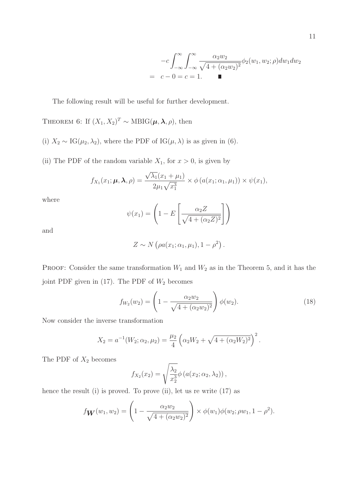$$
-c \int_{-\infty}^{\infty} \int_{-\infty}^{\infty} \frac{\alpha_2 w_2}{\sqrt{4 + (\alpha_2 w_2)^2}} \phi_2(w_1, w_2; \rho) dw_1 dw_2
$$
  
=  $c - 0 = c = 1$ .

The following result will be useful for further development.

THEOREM 6: If 
$$
(X_1, X_2)^T \sim \text{MBIG}(\mu, \lambda, \rho)
$$
, then

- (i)  $X_2 \sim \text{IG}(\mu_2, \lambda_2)$ , where the PDF of IG( $\mu$ ,  $\lambda$ ) is as given in (6).
- (ii) The PDF of the random variable  $X_1$ , for  $x > 0$ , is given by

$$
f_{X_1}(x_1;\boldsymbol{\mu},\boldsymbol{\lambda},\rho)=\frac{\sqrt{\lambda_1}(x_1+\mu_1)}{2\mu_1\sqrt{x_1^3}}\times\phi\left(a(x_1;\alpha_1,\mu_1)\right)\times\psi(x_1),
$$

where

$$
\psi(x_1) = \left(1 - E\left[\frac{\alpha_2 Z}{\sqrt{4 + (\alpha_2 Z)^2}}\right]\right)
$$

and

$$
Z \sim N\left(\rho a(x_1;\alpha_1,\mu_1), 1-\rho^2\right).
$$

PROOF: Consider the same transformation  $W_1$  and  $W_2$  as in the Theorem 5, and it has the joint PDF given in (17). The PDF of  $W_2$  becomes

$$
f_{W_2}(w_2) = \left(1 - \frac{\alpha_2 w_2}{\sqrt{4 + (\alpha_2 w_2)^2}}\right) \phi(w_2).
$$
 (18)

Now consider the inverse transformation

$$
X_2 = a^{-1}(W_2; \alpha_2, \mu_2) = \frac{\mu_2}{4} \left( \alpha_2 W_2 + \sqrt{4 + (\alpha_2 W_2)^2} \right)^2.
$$

The PDF of  $X_2$  becomes

$$
f_{X_2}(x_2) = \sqrt{\frac{\lambda_2}{x_2^3}} \phi\left(a(x_2; \alpha_2, \lambda_2)\right),
$$

hence the result (i) is proved. To prove (ii), let us re write (17) as

$$
f_{\mathbf{W}}(w_1, w_2) = \left(1 - \frac{\alpha_2 w_2}{\sqrt{4 + (\alpha_2 w_2)^2}}\right) \times \phi(w_1)\phi(w_2; \rho w_1, 1 - \rho^2).
$$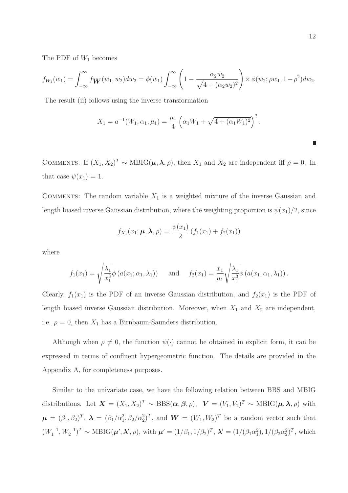The PDF of  $W_1$  becomes

$$
f_{W_1}(w_1) = \int_{-\infty}^{\infty} f_{\mathbf{W}}(w_1, w_2) dw_2 = \phi(w_1) \int_{-\infty}^{\infty} \left(1 - \frac{\alpha_2 w_2}{\sqrt{4 + (\alpha_2 w_2)^2}}\right) \times \phi(w_2; \rho w_1, 1 - \rho^2) dw_2.
$$

The result (ii) follows using the inverse transformation

$$
X_1 = a^{-1}(W_1; \alpha_1, \mu_1) = \frac{\mu_1}{4} \left( \alpha_1 W_1 + \sqrt{4 + (\alpha_1 W_1)^2} \right)^2.
$$

COMMENTS: If  $(X_1, X_2)^T \sim \text{MBIG}(\mu, \lambda, \rho)$ , then  $X_1$  and  $X_2$  are independent iff  $\rho = 0$ . In that case  $\psi(x_1) = 1$ .

COMMENTS: The random variable  $X_1$  is a weighted mixture of the inverse Gaussian and length biased inverse Gaussian distribution, where the weighting proportion is  $\psi(x_1)/2$ , since

$$
f_{X_1}(x_1; \mu, \lambda, \rho) = \frac{\psi(x_1)}{2} (f_1(x_1) + f_2(x_1))
$$

where

$$
f_1(x_1) = \sqrt{\frac{\lambda_1}{x_1^3}} \phi (a(x_1; \alpha_1, \lambda_1))
$$
 and  $f_2(x_1) = \frac{x_1}{\mu_1} \sqrt{\frac{\lambda_1}{x_1^3}} \phi (a(x_1; \alpha_1, \lambda_1)).$ 

Clearly,  $f_1(x_1)$  is the PDF of an inverse Gaussian distribution, and  $f_2(x_1)$  is the PDF of length biased inverse Gaussian distribution. Moreover, when  $X_1$  and  $X_2$  are independent, i.e.  $\rho = 0$ , then  $X_1$  has a Birnbaum-Saunders distribution.

Although when  $\rho \neq 0$ , the function  $\psi(\cdot)$  cannot be obtained in explicit form, it can be expressed in terms of confluent hypergeometric function. The details are provided in the Appendix A, for completeness purposes.

Similar to the univariate case, we have the following relation between BBS and MBIG distributions. Let  $\mathbf{X} = (X_1, X_2)^T \sim \text{BBS}(\boldsymbol{\alpha}, \boldsymbol{\beta}, \rho), \ \ \mathbf{V} = (V_1, V_2)^T \sim \text{MBIG}(\boldsymbol{\mu}, \boldsymbol{\lambda}, \rho)$  with  $\mu = (\beta_1, \beta_2)^T$ ,  $\lambda = (\beta_1/\alpha_1^2, \beta_2/\alpha_2^2)^T$ , and  $W = (W_1, W_2)^T$  be a random vector such that  $(W_1^{-1}, W_2^{-1})^T \sim \text{MBIG}(\mu', \lambda', \rho)$ , with  $\mu' = (1/\beta_1, 1/\beta_2)^T$ ,  $\lambda' = (1/(\beta_1 \alpha_1^2), 1/(\beta_2 \alpha_2^2)^T$ , which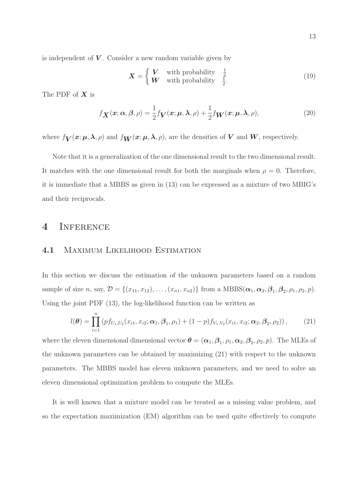is independent of  $V$ . Consider a new random variable given by

$$
\boldsymbol{X} = \begin{cases} \boldsymbol{V} & \text{with probability} \quad \frac{1}{2} \\ \boldsymbol{W} & \text{with probability} \quad \frac{1}{2}. \end{cases} \tag{19}
$$

The PDF of  $X$  is

$$
f_{\mathbf{X}}(\mathbf{x}; \alpha, \beta, \rho) = \frac{1}{2} f_{\mathbf{V}}(\mathbf{x}; \boldsymbol{\mu}, \boldsymbol{\lambda}, \rho) + \frac{1}{2} f_{\mathbf{W}}(\mathbf{x}; \boldsymbol{\mu}, \boldsymbol{\lambda}, \rho),
$$
(20)

where  $f_V(x;\mu,\lambda,\rho)$  and  $f_W(x;\mu,\lambda,\rho)$ , are the densities of V and W, respectively.

Note that it is a generalization of the one dimensional result to the two dimensional result. It matches with the one dimensional result for both the marginals when  $\rho = 0$ . Therefore, it is immediate that a MBBS as given in (13) can be expressed as a mixture of two MBIG's and their reciprocals.

#### 4 Inference

#### 4.1 Maximum Likelihood Estimation

In this section we discuss the estimation of the unknown parameters based on a random sample of size n, say,  $\mathcal{D} = \{(x_{11}, x_{12}), \ldots, (x_{n1}, x_{n2})\}$  from a  $MBBS(\boldsymbol{\alpha}_1, \boldsymbol{\alpha}_2, \boldsymbol{\beta}_1, \boldsymbol{\beta}_2, \rho_1, \rho_2, p)$ . Using the joint PDF (13), the log-likelihood function can be written as

$$
l(\boldsymbol{\theta}) = \prod_{i=1}^{n} (p f_{U_1, U_2}(x_{i1}, x_{i2}; \boldsymbol{\alpha}_1, \boldsymbol{\beta}_1, \rho_1) + (1-p) f_{V_1, V_2}(x_{i1}, x_{i2}; \boldsymbol{\alpha}_2, \boldsymbol{\beta}_2, \rho_2)), \qquad (21)
$$

where the eleven dimensional dimensional vector  $\boldsymbol{\theta} = (\boldsymbol{\alpha}_1, \boldsymbol{\beta}_1, \rho_1, \boldsymbol{\alpha}_2, \boldsymbol{\beta}_2, \rho_2, p)$ . The MLEs of the unknown parameters can be obtained by maximizing (21) with respect to the unknown parameters. The MBBS model has eleven unknown parameters, and we need to solve an eleven dimensional optimization problem to compute the MLEs.

It is well known that a mixture model can be treated as a missing value problem, and so the expectation maximization (EM) algorithm can be used quite effectively to compute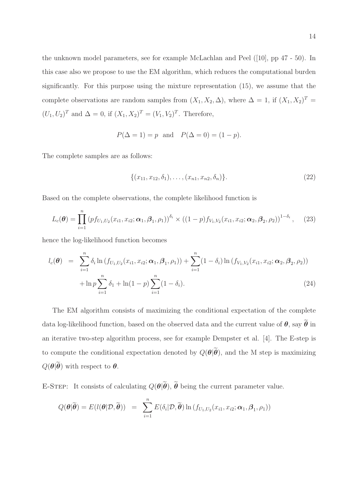the unknown model parameters, see for example McLachlan and Peel ([10], pp 47 - 50). In this case also we propose to use the EM algorithm, which reduces the computational burden significantly. For this purpose using the mixture representation (15), we assume that the complete observations are random samples from  $(X_1, X_2, \Delta)$ , where  $\Delta = 1$ , if  $(X_1, X_2)^T =$  $(U_1, U_2)^T$  and  $\Delta = 0$ , if  $(X_1, X_2)^T = (V_1, V_2)^T$ . Therefore,

$$
P(\Delta = 1) = p
$$
 and  $P(\Delta = 0) = (1 - p)$ .

The complete samples are as follows:

$$
\{(x_{11}, x_{12}, \delta_1), \ldots, (x_{n1}, x_{n2}, \delta_n)\}.
$$
 (22)

Based on the complete observations, the complete likelihood function is

$$
L_c(\boldsymbol{\theta}) = \prod_{i=1}^n (p f_{U_1, U_2}(x_{i1}, x_{i2}; \boldsymbol{\alpha}_1, \boldsymbol{\beta}_1, \rho_1))^{\delta_i} \times ((1-p) f_{V_1, V_2}(x_{i1}, x_{i2}; \boldsymbol{\alpha}_2, \boldsymbol{\beta}_2, \rho_2))^{1-\delta_i}, \quad (23)
$$

hence the log-likelihood function becomes

$$
l_c(\boldsymbol{\theta}) = \sum_{i=1}^n \delta_i \ln(f_{U_1, U_2}(x_{i1}, x_{i2}; \boldsymbol{\alpha}_1, \boldsymbol{\beta}_1, \rho_1)) + \sum_{i=1}^n (1 - \delta_i) \ln(f_{V_1, V_2}(x_{i1}, x_{i2}; \boldsymbol{\alpha}_2, \boldsymbol{\beta}_2, \rho_2)) + \ln p \sum_{i=1}^n \delta_1 + \ln(1 - p) \sum_{i=1}^n (1 - \delta_i).
$$
\n(24)

The EM algorithm consists of maximizing the conditional expectation of the complete data log-likelihood function, based on the observed data and the current value of  $\theta$ , say  $\widetilde{\theta}$  in an iterative two-step algorithm process, see for example Dempster et al. [4]. The E-step is to compute the conditional expectation denoted by  $Q(\boldsymbol{\theta}|\widetilde{\boldsymbol{\theta}})$ , and the M step is maximizing  $Q(\boldsymbol{\theta}|\widetilde{\boldsymbol{\theta}})$  with respect to  $\boldsymbol{\theta}$ .

E-STEP: It consists of calculating  $Q(\theta|\tilde{\theta})$ ,  $\tilde{\theta}$  being the current parameter value.

$$
Q(\boldsymbol{\theta}|\widetilde{\boldsymbol{\theta}}) = E(l(\boldsymbol{\theta}|\mathcal{D}, \widetilde{\boldsymbol{\theta}})) = \sum_{i=1}^{n} E(\delta_i|\mathcal{D}, \widetilde{\boldsymbol{\theta}}) \ln(f_{U_1, U_2}(x_{i1}, x_{i2}; \boldsymbol{\alpha}_1, \boldsymbol{\beta}_1, \rho_1))
$$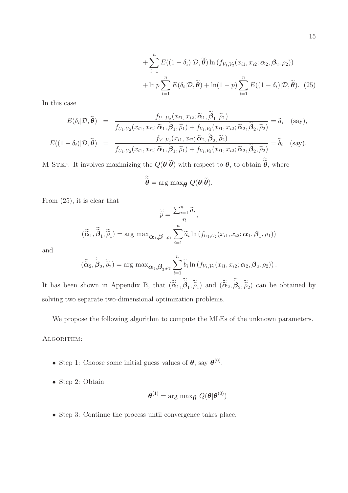+ 
$$
\sum_{i=1}^{n} E((1 - \delta_i)|\mathcal{D}, \widetilde{\boldsymbol{\theta}}) \ln (f_{V_1, V_2}(x_{i1}, x_{i2}; \boldsymbol{\alpha}_2, \boldsymbol{\beta}_2, \rho_2))
$$
  
+ 
$$
\ln p \sum_{i=1}^{n} E(\delta_i | \mathcal{D}, \widetilde{\boldsymbol{\theta}}) + \ln(1 - p) \sum_{i=1}^{n} E((1 - \delta_i)|\mathcal{D}, \widetilde{\boldsymbol{\theta}}).
$$
 (25)

In this case

$$
E(\delta_i | \mathcal{D}, \widetilde{\boldsymbol{\theta}}) = \frac{f_{U_1, U_2}(x_{i1}, x_{i2}; \widetilde{\boldsymbol{\alpha}}_1, \beta_1, \widetilde{\rho}_1)}{f_{U_1, U_2}(x_{i1}, x_{i2}; \widetilde{\boldsymbol{\alpha}}_1, \widetilde{\beta}_1, \widetilde{\rho}_1) + f_{V_1, V_2}(x_{i1}, x_{i2}; \widetilde{\boldsymbol{\alpha}}_2, \widetilde{\beta}_2, \widetilde{\rho}_2)} = \widetilde{a}_i \quad \text{(say)},
$$
\n
$$
E((1 - \delta_i) | \mathcal{D}, \widetilde{\boldsymbol{\theta}}) = \frac{f_{V_1, V_2}(x_{i1}, x_{i2}; \widetilde{\boldsymbol{\alpha}}_2, \widetilde{\beta}_2, \widetilde{\rho}_2)}{f_{U_1, U_2}(x_{i1}, x_{i2}; \widetilde{\boldsymbol{\alpha}}_1, \widetilde{\beta}_1, \widetilde{\rho}_1) + f_{V_1, V_2}(x_{i1}, x_{i2}; \widetilde{\boldsymbol{\alpha}}_2, \widetilde{\beta}_2, \widetilde{\rho}_2)} = \widetilde{b}_i \quad \text{(say)}.
$$

M-STEP: It involves maximizing the  $Q(\theta|\theta)$  with respect to  $\theta$ , to obtain  $\theta$ , where

$$
\widetilde{\widetilde{\boldsymbol{\theta}}} = \arg \max_{\boldsymbol{\theta}} Q(\boldsymbol{\theta}|\widetilde{\boldsymbol{\theta}}).
$$

From (25), it is clear that

$$
\widetilde{\widetilde{p}} = \frac{\sum_{i=1}^{n} \widetilde{a}_i}{n},
$$

$$
(\widetilde{\widetilde{\alpha}}_1, \widetilde{\widetilde{\beta}}_1, \widetilde{\widetilde{\rho}}_1) = \arg \max \mathbf{\alpha}_1, \mathbf{\beta}_1, \rho_1 \sum_{i=1}^{n} \widetilde{a}_i \ln(f_{U_1, U_2}(x_{i1}, x_{i2}; \mathbf{\alpha}_1, \mathbf{\beta}_1, \rho_1))
$$

and

$$
(\widetilde{\widetilde{\boldsymbol{\alpha}}}_{2}, \widetilde{\widetilde{\boldsymbol{\beta}}}_{2}, \widetilde{\widetilde{\boldsymbol{\rho}}}_{2}) = \arg \max \boldsymbol{\alpha}_{2}, \boldsymbol{\beta}_{2}, \rho_{2} \sum_{i=1}^{n} \widetilde{b}_{i} \ln (f_{V_{1}, V_{2}}(x_{i1}, x_{i2}; \boldsymbol{\alpha}_{2}, \boldsymbol{\beta}_{2}, \rho_{2})).
$$

It has been shown in Appendix B, that  $(\tilde{\alpha}_1, \beta_1, \tilde{\rho}_1)$  and  $(\tilde{\alpha}_2, \beta_2, \tilde{\rho}_2)$  can be obtained by solving two separate two-dimensional optimization problems.

We propose the following algorithm to compute the MLEs of the unknown parameters.

ALGORITHM:

- Step 1: Choose some initial guess values of  $\theta$ , say  $\theta^{(0)}$ .
- Step 2: Obtain

$$
\boldsymbol{\theta}^{(1)} = \arg \max_{\boldsymbol{\theta}} Q(\boldsymbol{\theta}|\boldsymbol{\theta}^{(0)})
$$

• Step 3: Continue the process until convergence takes place.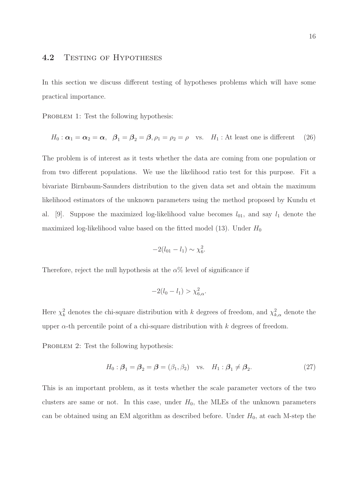### 4.2 TESTING OF HYPOTHESES

In this section we discuss different testing of hypotheses problems which will have some practical importance.

PROBLEM 1: Test the following hypothesis:

$$
H_0: \alpha_1 = \alpha_2 = \alpha, \quad \beta_1 = \beta_2 = \beta, \rho_1 = \rho_2 = \rho \quad \text{vs.} \quad H_1: \text{At least one is different} \quad (26)
$$

The problem is of interest as it tests whether the data are coming from one population or from two different populations. We use the likelihood ratio test for this purpose. Fit a bivariate Birnbaum-Saunders distribution to the given data set and obtain the maximum likelihood estimators of the unknown parameters using the method proposed by Kundu et al. [9]. Suppose the maximized log-likelihood value becomes  $l_{01}$ , and say  $l_1$  denote the maximized log-likelihood value based on the fitted model  $(13)$ . Under  $H_0$ 

$$
-2(l_{01}-l_1) \sim \chi_6^2.
$$

Therefore, reject the null hypothesis at the  $\alpha$ % level of significance if

$$
-2(l_0 - l_1) > \chi_{6,\alpha}^2.
$$

Here  $\chi^2_k$  denotes the chi-square distribution with k degrees of freedom, and  $\chi^2_{k,\alpha}$  denote the upper  $\alpha$ -th percentile point of a chi-square distribution with k degrees of freedom.

PROBLEM 2: Test the following hypothesis:

$$
H_0: \mathcal{B}_1 = \mathcal{B}_2 = \mathcal{B} = (\beta_1, \beta_2) \quad \text{vs.} \quad H_1: \mathcal{B}_1 \neq \mathcal{B}_2. \tag{27}
$$

This is an important problem, as it tests whether the scale parameter vectors of the two clusters are same or not. In this case, under  $H_0$ , the MLEs of the unknown parameters can be obtained using an EM algorithm as described before. Under  $H_0$ , at each M-step the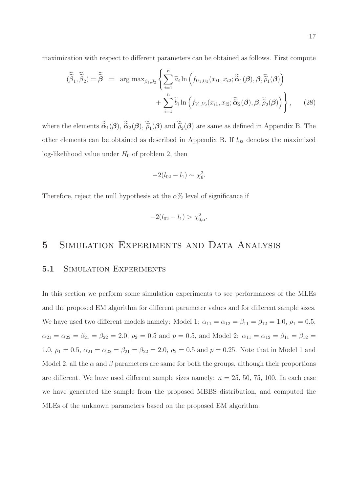maximization with respect to different parameters can be obtained as follows. First compute

$$
(\widetilde{\tilde{\beta}}_1, \widetilde{\tilde{\beta}}_2) = \widetilde{\tilde{\boldsymbol{\beta}}} = \arg \max_{\beta_1, \beta_2} \left\{ \sum_{i=1}^n \widetilde{a}_i \ln \left( f_{U_1, U_2}(x_{i1}, x_{i2}; \widetilde{\tilde{\alpha}}_1(\boldsymbol{\beta}), \boldsymbol{\beta}, \widetilde{\tilde{\rho}}_1(\boldsymbol{\beta}) \right) + \sum_{i=1}^n \widetilde{b}_i \ln \left( f_{V_1, V_2}(x_{i1}, x_{i2}; \widetilde{\tilde{\alpha}}_2(\boldsymbol{\beta}), \boldsymbol{\beta}, \widetilde{\tilde{\rho}}_2(\boldsymbol{\beta}) \right) \right\}, \tag{28}
$$

where the elements  $\tilde{\alpha}_1(\beta), \tilde{\alpha}_2(\beta), \tilde{\rho}_1(\beta)$  and  $\tilde{\rho}_2(\beta)$  are same as defined in Appendix B. The other elements can be obtained as described in Appendix B. If  $l_{02}$  denotes the maximized log-likelihood value under  $H_0$  of problem 2, then

$$
-2(l_{02}-l_1) \sim \chi_6^2.
$$

Therefore, reject the null hypothesis at the  $\alpha$ % level of significance if

$$
-2(l_{02}-l_1) > \chi^2_{6,\alpha}.
$$

### 5 Simulation Experiments and Data Analysis

#### 5.1 SIMULATION EXPERIMENTS

In this section we perform some simulation experiments to see performances of the MLEs and the proposed EM algorithm for different parameter values and for different sample sizes. We have used two different models namely: Model 1:  $\alpha_{11} = \alpha_{12} = \beta_{11} = \beta_{12} = 1.0$ ,  $\rho_1 = 0.5$ ,  $\alpha_{21} = \alpha_{22} = \beta_{21} = \beta_{22} = 2.0, \ \rho_2 = 0.5 \text{ and } p = 0.5, \text{ and Model 2: } \alpha_{11} = \alpha_{12} = \beta_{11} = \beta_{12} = \beta_{11}$ 1.0,  $\rho_1 = 0.5$ ,  $\alpha_{21} = \alpha_{22} = \beta_{21} = \beta_{22} = 2.0$ ,  $\rho_2 = 0.5$  and  $p = 0.25$ . Note that in Model 1 and Model 2, all the  $\alpha$  and  $\beta$  parameters are same for both the groups, although their proportions are different. We have used different sample sizes namely:  $n = 25, 50, 75, 100$ . In each case we have generated the sample from the proposed MBBS distribution, and computed the MLEs of the unknown parameters based on the proposed EM algorithm.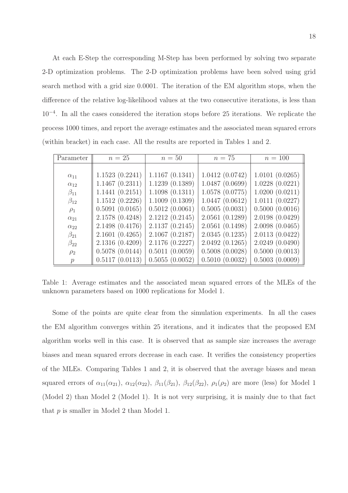At each E-Step the corresponding M-Step has been performed by solving two separate 2-D optimization problems. The 2-D optimization problems have been solved using grid search method with a grid size 0.0001. The iteration of the EM algorithm stops, when the difference of the relative log-likelihood values at the two consecutive iterations, is less than 10<sup>−</sup><sup>4</sup> . In all the cases considered the iteration stops before 25 iterations. We replicate the process 1000 times, and report the average estimates and the associated mean squared errors (within bracket) in each case. All the results are reported in Tables 1 and 2.

| Parameter     | $n=25$          | $n=50$         | $n=75$         | $n = 100$      |
|---------------|-----------------|----------------|----------------|----------------|
|               |                 |                |                |                |
| $\alpha_{11}$ | 1.1523(0.2241)  | 1.1167(0.1341) | 1.0412(0.0742) | 1.0101(0.0265) |
| $\alpha_{12}$ | 1.1467(0.2311)  | 1.1239(0.1389) | 1.0487(0.0699) | 1.0228(0.0221) |
| $\beta_{11}$  | 1.1441(0.2151)  | 1.1098(0.1311) | 1.0578(0.0775) | 1.0200(0.0211) |
| $\beta_{12}$  | 1.1512(0.2226)  | 1.1009(0.1309) | 1.0447(0.0612) | 1.0111(0.0227) |
| $\rho_1$      | 0.5091(0.0165)  | 0.5012(0.0061) | 0.5005(0.0031) | 0.5000(0.0016) |
| $\alpha_{21}$ | 2.1578(0.4248)  | 2.1212(0.2145) | 2.0561(0.1289) | 2.0198(0.0429) |
| $\alpha_{22}$ | 2.1498 (0.4176) | 2.1137(0.2145) | 2.0561(0.1498) | 2.0098(0.0465) |
| $\beta_{21}$  | 2.1601(0.4265)  | 2.1067(0.2187) | 2.0345(0.1235) | 2.0113(0.0422) |
| $\beta_{22}$  | 2.1316(0.4209)  | 2.1176(0.2227) | 2.0492(0.1265) | 2.0249(0.0490) |
| $\rho_2$      | 0.5078(0.0144)  | 0.5011(0.0059) | 0.5008(0.0028) | 0.5000(0.0013) |
| $\mathcal{p}$ | 0.5117(0.0113)  | 0.5055(0.0052) | 0.5010(0.0032) | 0.5003(0.0009) |

Table 1: Average estimates and the associated mean squared errors of the MLEs of the unknown parameters based on 1000 replications for Model 1.

Some of the points are quite clear from the simulation experiments. In all the cases the EM algorithm converges within 25 iterations, and it indicates that the proposed EM algorithm works well in this case. It is observed that as sample size increases the average biases and mean squared errors decrease in each case. It verifies the consistency properties of the MLEs. Comparing Tables 1 and 2, it is observed that the average biases and mean squared errors of  $\alpha_{11}(\alpha_{21}), \alpha_{12}(\alpha_{22}), \beta_{11}(\beta_{21}), \beta_{12}(\beta_{22}), \rho_{1}(\rho_{2})$  are more (less) for Model 1 (Model 2) than Model 2 (Model 1). It is not very surprising, it is mainly due to that fact that p is smaller in Model 2 than Model 1.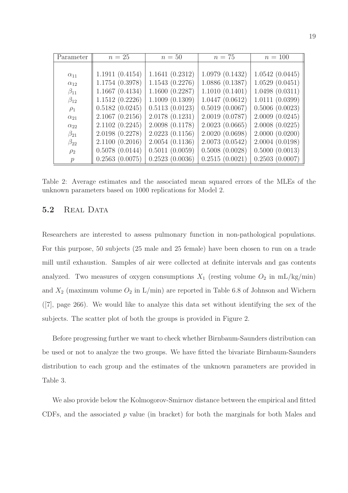| Parameter     | $n=25$         | $n=50$         | $n=75$         | $n = 100$      |
|---------------|----------------|----------------|----------------|----------------|
|               |                |                |                |                |
| $\alpha_{11}$ | 1.1911(0.4154) | 1.1641(0.2312) | 1.0979(0.1432) | 1.0542(0.0445) |
| $\alpha_{12}$ | 1.1754(0.3978) | 1.1543(0.2276) | 1.0886(0.1387) | 1.0529(0.0451) |
| $\beta_{11}$  | 1.1667(0.4134) | 1.1600(0.2287) | 1.1010(0.1401) | 1.0498(0.0311) |
| $\beta_{12}$  | 1.1512(0.2226) | 1.1009(0.1309) | 1.0447(0.0612) | 1.0111(0.0399) |
| $\rho_1$      | 0.5182(0.0245) | 0.5113(0.0123) | 0.5019(0.0067) | 0.5006(0.0023) |
| $\alpha_{21}$ | 2.1067(0.2156) | 2.0178(0.1231) | 2.0019(0.0787) | 2.0009(0.0245) |
| $\alpha_{22}$ | 2.1102(0.2245) | 2.0098(0.1178) | 2.0023(0.0665) | 2.0008(0.0225) |
| $\beta_{21}$  | 2.0198(0.2278) | 2.0223(0.1156) | 2.0020(0.0698) | 2.0000(0.0200) |
| $\beta_{22}$  | 2.1100(0.2016) | 2.0054(0.1136) | 2.0073(0.0542) | 2.0004(0.0198) |
| $\rho_2$      | 0.5078(0.0144) | 0.5011(0.0059) | 0.5008(0.0028) | 0.5000(0.0013) |
| $\mathcal{p}$ | 0.2563(0.0075) | 0.2523(0.0036) | 0.2515(0.0021) | 0.2503(0.0007) |

Table 2: Average estimates and the associated mean squared errors of the MLEs of the unknown parameters based on 1000 replications for Model 2.

#### 5.2 REAL DATA

Researchers are interested to assess pulmonary function in non-pathological populations. For this purpose, 50 subjects (25 male and 25 female) have been chosen to run on a trade mill until exhaustion. Samples of air were collected at definite intervals and gas contents analyzed. Two measures of oxygen consumptions  $X_1$  (resting volume  $O_2$  in mL/kg/min) and  $X_2$  (maximum volume  $O_2$  in  $L/min$ ) are reported in Table 6.8 of Johnson and Wichern ([7], page 266). We would like to analyze this data set without identifying the sex of the subjects. The scatter plot of both the groups is provided in Figure 2.

Before progressing further we want to check whether Birnbaum-Saunders distribution can be used or not to analyze the two groups. We have fitted the bivariate Birnbaum-Saunders distribution to each group and the estimates of the unknown parameters are provided in Table 3.

We also provide below the Kolmogorov-Smirnov distance between the empirical and fitted CDFs, and the associated  $p$  value (in bracket) for both the marginals for both Males and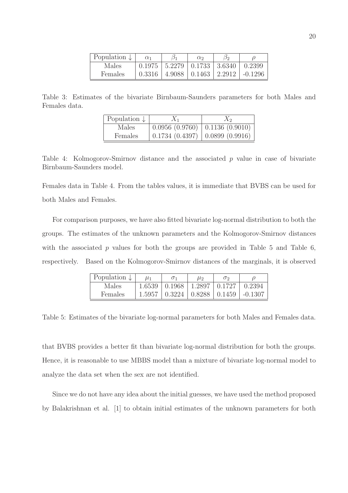| Population $\downarrow$ | $\alpha_1$ | $\sigma_1$ | $\alpha_2$                       | $\mathcal{D}_{2}$ |           |
|-------------------------|------------|------------|----------------------------------|-------------------|-----------|
| Males                   | 0.1975     |            | $5.2279 \mid 0.1733 \mid 3.6340$ |                   | 0.2399    |
| <b>Females</b>          | 0.3316     |            | $4.9088 \pm 0.1463 \pm 2.2912$   |                   | $-0.1296$ |

Table 3: Estimates of the bivariate Birnbaum-Saunders parameters for both Males and Females data.

| Population $\downarrow$ | $X_1$                               | $\Lambda_2$ |
|-------------------------|-------------------------------------|-------------|
| Males                   | $0.0956(0.9760)$ 0.1136 (0.9010)    |             |
| Females                 | $0.1734$ (0.4397)   0.0899 (0.9916) |             |

Table 4: Kolmogorov-Smirnov distance and the associated p value in case of bivariate Birnbaum-Saunders model.

Females data in Table 4. From the tables values, it is immediate that BVBS can be used for both Males and Females.

For comparison purposes, we have also fitted bivariate log-normal distribution to both the groups. The estimates of the unknown parameters and the Kolmogorov-Smirnov distances with the associated  $p$  values for both the groups are provided in Table 5 and Table 6, respectively. Based on the Kolmogorov-Smirnov distances of the marginals, it is observed

| Population $\downarrow$ | Ll 1   |        | $\mu_2$                        | $\sigma$ |                 |
|-------------------------|--------|--------|--------------------------------|----------|-----------------|
| Males                   | 1.6539 | 0.1968 | 1.2897                         | 0.1727   | 0.2394          |
| Females                 | 1.5957 |        | $0.3224$   $0.8288$   $0.1459$ |          | $\vert$ -0.1307 |

Table 5: Estimates of the bivariate log-normal parameters for both Males and Females data.

that BVBS provides a better fit than bivariate log-normal distribution for both the groups. Hence, it is reasonable to use MBBS model than a mixture of bivariate log-normal model to analyze the data set when the sex are not identified.

Since we do not have any idea about the initial guesses, we have used the method proposed by Balakrishnan et al. [1] to obtain initial estimates of the unknown parameters for both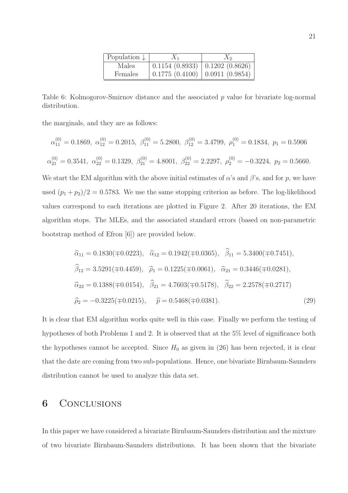| Population $\downarrow$ | $X_1$                                                     | $X_2$ |
|-------------------------|-----------------------------------------------------------|-------|
| Males                   | $0.1154$ $(0.8933)$ $\mid$ $0.1202$ $\overline{(0.8626)}$ |       |
| Females                 | $0.1775(0.4100)$ 0.0911 (0.9854)                          |       |

Table 6: Kolmogorov-Smirnov distance and the associated p value for bivariate log-normal distribution.

the marginals, and they are as follows:

$$
\alpha_{11}^{(0)} = 0.1869, \ \alpha_{12}^{(0)} = 0.2015, \ \beta_{11}^{(0)} = 5.2800, \ \beta_{12}^{(0)} = 3.4799, \ \rho_1^{(0)} = 0.1834, \ p_1 = 0.5906
$$
  
 $\alpha_{21}^{(0)} = 0.3541, \ \alpha_{22}^{(0)} = 0.1329, \ \beta_{21}^{(0)} = 4.8001, \ \beta_{22}^{(0)} = 2.2297, \ \rho_2^{(0)} = -0.3224, \ p_2 = 0.5660.$ 

We start the EM algorithm with the above initial estimates of  $\alpha$ 's and  $\beta$ 's, and for p, we have used  $(p_1 + p_2)/2 = 0.5783$ . We use the same stopping criterion as before. The log-likelihood values correspond to each iterations are plotted in Figure 2. After 20 iterations, the EM algorithm stops. The MLEs, and the associated standard errors (based on non-parametric bootstrap method of Efron [6]) are provided below.

$$
\hat{\alpha}_{11} = 0.1830(\mp 0.0223), \quad \hat{\alpha}_{12} = 0.1942(\mp 0.0365), \quad \hat{\beta}_{11} = 5.3400(\mp 0.7451),
$$
\n
$$
\hat{\beta}_{12} = 3.5291(\mp 0.4459), \quad \hat{\rho}_{1} = 0.1225(\mp 0.0061), \quad \hat{\alpha}_{21} = 0.3446(\mp 0.0281),
$$
\n
$$
\hat{\alpha}_{22} = 0.1388(\mp 0.0154), \quad \hat{\beta}_{21} = 4.7603(\mp 0.5178), \quad \hat{\beta}_{22} = 2.2578(\mp 0.2717)
$$
\n
$$
\hat{\rho}_{2} = -0.3225(\mp 0.0215), \quad \hat{p} = 0.5468(\mp 0.0381).
$$
\n(29)

It is clear that EM algorithm works quite well in this case. Finally we perform the testing of hypotheses of both Problems 1 and 2. It is observed that at the 5% level of significance both the hypotheses cannot be accepted. Since  $H_0$  as given in (26) has been rejected, it is clear that the date are coming from two sub-populations. Hence, one bivariate Birnbaum-Saunders distribution cannot be used to analyze this data set.

### 6 CONCLUSIONS

In this paper we have considered a bivariate Birnbaum-Saunders distribution and the mixture of two bivariate Birnbaum-Saunders distributions. It has been shown that the bivariate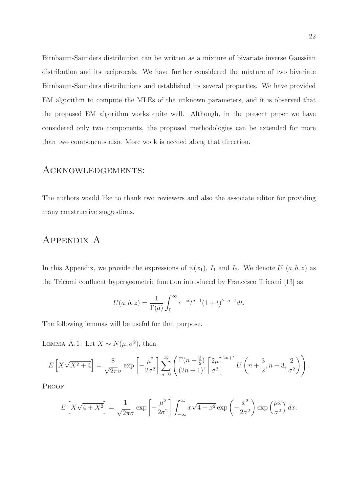Birnbaum-Saunders distribution can be written as a mixture of bivariate inverse Gaussian distribution and its reciprocals. We have further considered the mixture of two bivariate Birnbaum-Saunders distributions and established its several properties. We have provided EM algorithm to compute the MLEs of the unknown parameters, and it is observed that the proposed EM algorithm works quite well. Although, in the present paper we have considered only two components, the proposed methodologies can be extended for more than two components also. More work is needed along that direction.

#### Acknowledgements:

The authors would like to thank two reviewers and also the associate editor for providing many constructive suggestions.

### Appendix A

In this Appendix, we provide the expressions of  $\psi(x_1)$ ,  $I_1$  and  $I_2$ . We denote U  $(a, b, z)$  as the Tricomi confluent hypergeometric function introduced by Francesco Tricomi [13] as

$$
U(a, b, z) = \frac{1}{\Gamma(a)} \int_0^\infty e^{-zt} t^{a-1} (1+t)^{b-a-1} dt.
$$

The following lemmas will be useful for that purpose.

LEMMA A.1: Let  $X \sim N(\mu, \sigma^2)$ , then

$$
E\left[X\sqrt{X^2+4}\right] = \frac{8}{\sqrt{2\pi}\sigma} \exp\left[-\frac{\mu^2}{2\sigma^2}\right] \sum_{n=0}^{\infty} \left(\frac{\Gamma(n+\frac{3}{2})}{(2n+1)!} \left[\frac{2\mu}{\sigma^2}\right]^{2n+1} U\left(n+\frac{3}{2}, n+3, \frac{2}{\sigma^2}\right)\right).
$$

PROOF:

$$
E\left[X\sqrt{4+X^2}\right] = \frac{1}{\sqrt{2\pi}\sigma} \exp\left[-\frac{\mu^2}{2\sigma^2}\right] \int_{-\infty}^{\infty} x\sqrt{4+x^2} \exp\left(-\frac{x^2}{2\sigma^2}\right) \exp\left(\frac{\mu x}{\sigma^2}\right) dx.
$$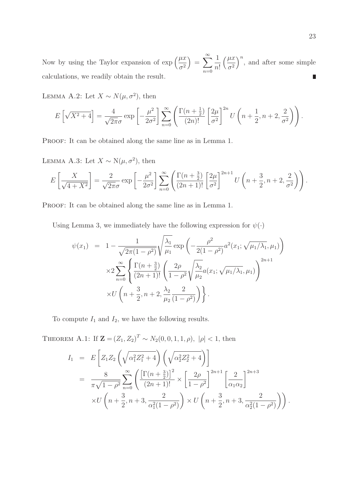$=\sum_{n=0}^{\infty}$ Now by using the Taylor expansion of  $\exp\left(\frac{\mu x}{2}\right)$ 1  $\mu x$  $\int_{0}^{n}$ , and after some simple  $\sigma^2$  $\sigma^2$  $n!$  $n=0$ calculations, we readily obtain the result. ▉

LEMMA A.2: Let  $X \sim N(\mu, \sigma^2)$ , then

$$
E\left[\sqrt{X^2+4}\right] = \frac{4}{\sqrt{2\pi}\sigma} \exp\left[-\frac{\mu^2}{2\sigma^2}\right] \sum_{n=0}^{\infty} \left(\frac{\Gamma(n+\frac{1}{2})}{(2n)!} \left[\frac{2\mu}{\sigma^2}\right]^{2n} U\left(n+\frac{1}{2}, n+2, \frac{2}{\sigma^2}\right)\right)
$$

PROOF: It can be obtained along the same line as in Lemma 1.

LEMMA A.3: Let  $X \sim N(\mu, \sigma^2)$ , then

$$
E\left[\frac{X}{\sqrt{4+X^2}}\right] = \frac{2}{\sqrt{2\pi}\sigma} \exp\left[-\frac{\mu^2}{2\sigma^2}\right] \sum_{n=0}^{\infty} \left(\frac{\Gamma(n+\frac{3}{2})}{(2n+1)!} \left[\frac{2\mu}{\sigma^2}\right]^{2n+1} U\left(n+\frac{3}{2}, n+2, \frac{2}{\sigma^2}\right)\right).
$$

PROOF: It can be obtained along the same line as in Lemma 1.

Using Lemma 3, we immediately have the following expression for  $\psi(\cdot)$ 

$$
\psi(x_1) = 1 - \frac{1}{\sqrt{2\pi(1-\rho^2)}} \sqrt{\frac{\lambda_1}{\mu_1}} \exp\left(-\frac{\rho^2}{2(1-\rho^2)} a^2(x_1; \sqrt{\mu_1/\lambda_1}, \mu_1)\right)
$$
  

$$
\times 2 \sum_{n=0}^{\infty} \left\{ \frac{\Gamma(n+\frac{3}{2})}{(2n+1)!} \left(\frac{2\rho}{1-\rho^2} \sqrt{\frac{\lambda_2}{\mu_2}} a(x_1; \sqrt{\mu_1/\lambda_1}, \mu_1)\right)^{2n+1} \right\}
$$
  

$$
\times U\left(n+\frac{3}{2}, n+2, \frac{\lambda_2}{\mu_2} \frac{2}{(1-\rho^2)}\right)\right\}.
$$

To compute  $I_1$  and  $I_2$ , we have the following results.

THEOREM A.1: If  $\mathbf{Z} = (Z_1, Z_2)^T \sim N_2(0, 0, 1, 1, \rho), |\rho| < 1$ , then

$$
I_1 = E\left[Z_1 Z_2 \left(\sqrt{\alpha_1^2 Z_1^2 + 4}\right) \left(\sqrt{\alpha_2^2 Z_2^2 + 4}\right)\right]
$$
  
= 
$$
\frac{8}{\pi \sqrt{1 - \rho^2}} \sum_{n=0}^{\infty} \left(\frac{\left[\Gamma(n + \frac{3}{2})\right]^2}{(2n + 1)!} \times \left[\frac{2\rho}{1 - \rho^2}\right]^{2n + 1} \left[\frac{2}{\alpha_1 \alpha_2}\right]^{2n + 3}
$$
  

$$
\times U\left(n + \frac{3}{2}, n + 3, \frac{2}{\alpha_1^2 (1 - \rho^2)}\right) \times U\left(n + \frac{3}{2}, n + 3, \frac{2}{\alpha_2^2 (1 - \rho^2)}\right)\right).
$$

.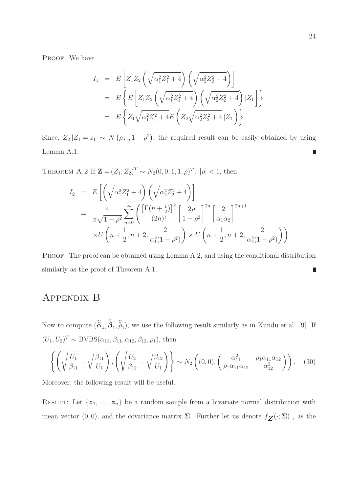PROOF: We have

$$
I_1 = E\left[Z_1 Z_2 \left(\sqrt{\alpha_1^2 Z_1^2 + 4}\right) \left(\sqrt{\alpha_2^2 Z_2^2 + 4}\right)\right]
$$
  
=  $E\left\{E\left[Z_1 Z_2 \left(\sqrt{\alpha_1^2 Z_1^2 + 4}\right) \left(\sqrt{\alpha_2^2 Z_2^2 + 4}\right) |Z_1\right]\right\}$   
=  $E\left\{Z_1 \sqrt{\alpha_1^2 Z_1^2 + 4E\left(Z_2 \sqrt{\alpha_2^2 Z_2^2 + 4} |Z_1\right)}\right\}$ 

Since,  $Z_2 | Z_1 = z_1 \sim N(\rho z_1, 1 - \rho^2)$ , the required result can be easily obtained by using Lemma A.1. П

THEOREM A.2 If  $\mathbf{Z} = (Z_1, Z_2)^T \sim N_2(0, 0, 1, 1, \rho)^T$ ,  $|\rho| < 1$ , then

$$
I_2 = E\left[\left(\sqrt{\alpha_1^2 Z_1^2 + 4}\right) \left(\sqrt{\alpha_2^2 Z_2^2 + 4}\right)\right]
$$
  
= 
$$
\frac{4}{\pi \sqrt{1 - \rho^2}} \sum_{n=0}^{\infty} \left(\frac{\left[\Gamma(n + \frac{1}{2})\right]^2}{(2n)!} \left[\frac{2\rho}{1 - \rho^2}\right]^{2n} \left[\frac{2}{\alpha_1 \alpha_2}\right]^{2n+1}
$$
  

$$
\times U\left(n + \frac{1}{2}, n + 2, \frac{2}{\alpha_1^2(1 - \rho^2)}\right) \times U\left(n + \frac{1}{2}, n + 2, \frac{2}{\alpha_2^2(1 - \rho^2)}\right)\right)
$$

PROOF: The proof can be obtained using Lemma A.2, and using the conditional distribution similarly as the proof of Theorem A.1. L

## Appendix B

Now to compute  $(\widetilde{\alpha}_1, \beta_1, \widetilde{\rho}_1)$ , we use the following result similarly as in Kundu et al. [9]. If  $(U_1, U_2)^T \sim \text{BVBS}(\alpha_{11}, \beta_{11}, \alpha_{12}, \beta_{12}, \rho_1)$ , then

$$
\left\{ \left( \sqrt{\frac{U_1}{\beta_{11}}} - \sqrt{\frac{\beta_{11}}{U_1}} \right), \left( \sqrt{\frac{U_2}{\beta_{12}}} - \sqrt{\frac{\beta_{12}}{U_1}} \right) \right\} \sim N_2 \left( (0,0), \left( \frac{\alpha_{11}^2}{\rho_1 \alpha_{11} \alpha_{12}} \frac{\rho_1 \alpha_{11} \alpha_{12}}{\alpha_{12}^2} \right) \right). \quad (30)
$$

Moreover, the following result will be useful.

RESULT: Let  $\{z_1, \ldots, z_n\}$  be a random sample from a bivariate normal distribution with mean vector (0,0), and the covariance matrix  $\Sigma$ . Further let us denote  $f_{\mathbf{Z}}(\cdot;\Sigma)$  , as the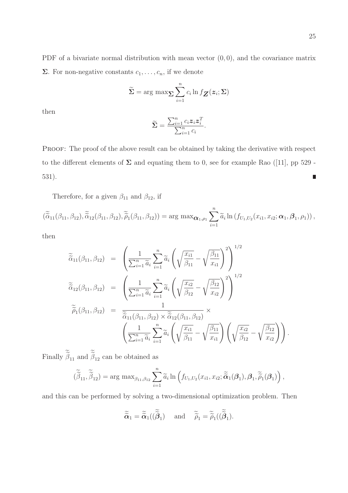PDF of a bivariate normal distribution with mean vector  $(0, 0)$ , and the covariance matrix **Σ**. For non-negative constants  $c_1, \ldots, c_n$ , if we denote

$$
\widetilde{\Sigma} = \arg \max \sum_{i=1}^{n} c_i \ln f_{\boldsymbol{Z}}(\boldsymbol{z}_i; \Sigma)
$$

then

$$
\widetilde{\Sigma} = \frac{\sum_{i=1}^{n} c_i \mathbf{z}_i \mathbf{z}_i^T}{\sum_{i=1}^{n} c_i}.
$$

PROOF: The proof of the above result can be obtained by taking the derivative with respect to the different elements of  $\Sigma$  and equating them to 0, see for example Rao ([11], pp 529 -531).  $\blacksquare$ 

Therefore, for a given  $\beta_{11}$  and  $\beta_{12},$  if

$$
(\widetilde{\tilde{\alpha}}_{11}(\beta_{11},\beta_{12}),\widetilde{\tilde{\alpha}}_{12}(\beta_{11},\beta_{12}),\widetilde{\tilde{\rho}}_{1}(\beta_{11},\beta_{12})) = \arg \max_{\boldsymbol{\alpha}_{1},\rho_{1}} \sum_{i=1}^{n} \widetilde{\alpha}_{i} \ln(f_{U_{1},U_{2}}(x_{i1},x_{i2};\boldsymbol{\alpha}_{1},\boldsymbol{\beta}_{1},\rho_{1})),
$$

then

$$
\widetilde{\tilde{\alpha}}_{11}(\beta_{11}, \beta_{12}) = \left(\frac{1}{\sum_{i=1}^{n} \widetilde{a}_{i}} \sum_{i=1}^{n} \widetilde{a}_{i} \left(\sqrt{\frac{x_{i1}}{\beta_{11}}} - \sqrt{\frac{\beta_{11}}{x_{i1}}}\right)^{2}\right)^{1/2} \n\widetilde{\tilde{\alpha}}_{12}(\beta_{11}, \beta_{12}) = \left(\frac{1}{\sum_{i=1}^{n} \widetilde{a}_{i}} \sum_{i=1}^{n} \widetilde{a}_{i} \left(\sqrt{\frac{x_{i2}}{\beta_{12}}} - \sqrt{\frac{\beta_{12}}{x_{i2}}}\right)^{2}\right)^{1/2} \n\widetilde{\tilde{\rho}}_{1}(\beta_{11}, \beta_{12}) = \frac{1}{\widetilde{\tilde{\alpha}}_{11}(\beta_{11}, \beta_{12}) \times \widetilde{\tilde{\alpha}}_{12}(\beta_{11}, \beta_{12})} \times \n\left(\frac{1}{\sum_{i=1}^{n} \widetilde{a}_{i}} \sum_{i=1}^{n} \widetilde{a}_{i} \left(\sqrt{\frac{x_{i1}}{\beta_{11}}} - \sqrt{\frac{\beta_{11}}{x_{i1}}}\right) \left(\sqrt{\frac{x_{i2}}{\beta_{12}}} - \sqrt{\frac{\beta_{12}}{x_{i2}}}\right)\right).
$$

Finally  $\beta_{11}$  and  $\beta_{12}$  can be obtained as

$$
(\widetilde{\widetilde{\beta}}_{11}, \widetilde{\widetilde{\beta}}_{12}) = \arg \max_{\beta_{11}, \beta_{12}} \sum_{i=1}^n \widetilde{a}_i \ln \left( f_{U_1, U_2}(x_{i1}, x_{i2}; \widetilde{\widetilde{\alpha}}_1(\boldsymbol{\beta}_1), \boldsymbol{\beta}_1, \widetilde{\widetilde{\rho}}_1(\boldsymbol{\beta}_1) \right),
$$

and this can be performed by solving a two-dimensional optimization problem. Then

$$
\widetilde{\widetilde{\alpha}}_1 = \widetilde{\widetilde{\alpha}}_1((\widetilde{\widetilde{\beta}}_1) \quad \text{and} \quad \widetilde{\widetilde{\rho}}_1 = \widetilde{\widetilde{\rho}}_1((\widetilde{\widetilde{\beta}}_1).
$$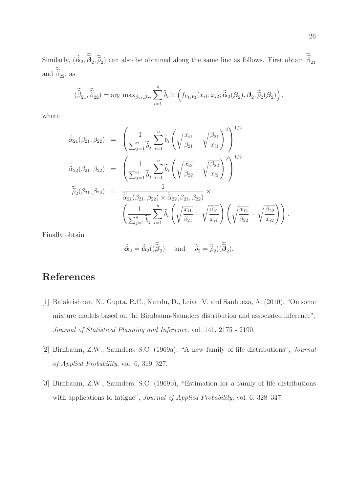Similarly,  $(\tilde{\alpha}_2, \beta_2, \tilde{\rho}_2)$  can also be obtained along the same line as follows. First obtain  $\beta_{21}$ and  $\beta_{22}$ , as

$$
(\widetilde{\widetilde{\beta}}_{21}, \widetilde{\widetilde{\beta}}_{22}) = \arg \max_{\beta_{21}, \beta_{22}} \sum_{i=1}^{n} \widetilde{b}_{i} \ln \left( f_{V_1, V_2}(x_{i1}, x_{i2}; \widetilde{\widetilde{\alpha}}_2(\beta_2), \beta_2, \widetilde{\widetilde{\rho}}_2(\beta_2) \right),
$$

where

$$
\widetilde{\tilde{\alpha}}_{21}(\beta_{21}, \beta_{22}) = \left(\frac{1}{\sum_{j=1}^{n} \widetilde{b}_{j}} \sum_{i=1}^{n} \widetilde{b}_{i} \left(\sqrt{\frac{x_{i1}}{\beta_{21}}} - \sqrt{\frac{\beta_{21}}{x_{i1}}}\right)^{2}\right)^{1/2} \n\widetilde{\tilde{\alpha}}_{22}(\beta_{21}, \beta_{22}) = \left(\frac{1}{\sum_{j=1}^{n} \widetilde{b}_{j}} \sum_{i=1}^{n} \widetilde{b}_{i} \left(\sqrt{\frac{x_{i2}}{\beta_{22}}} - \sqrt{\frac{\beta_{22}}{x_{i2}}}\right)^{2}\right)^{1/2} \n\widetilde{\tilde{\rho}}_{2}(\beta_{21}, \beta_{22}) = \frac{1}{\widetilde{\tilde{\alpha}}_{21}(\beta_{21}, \beta_{22}) \times \widetilde{\tilde{\alpha}}_{22}(\beta_{21}, \beta_{22})} \times \left(\frac{1}{\sum_{j=1}^{n} \widetilde{b}_{j}} \sum_{i=1}^{n} \widetilde{b}_{i} \left(\sqrt{\frac{x_{i1}}{\beta_{21}}} - \sqrt{\frac{\beta_{21}}{x_{i1}}}\right) \left(\sqrt{\frac{x_{i2}}{\beta_{22}}} - \sqrt{\frac{\beta_{22}}{x_{i2}}}\right)\right).
$$

Finally obtain

$$
\widetilde{\widetilde{\alpha}}_2 = \widetilde{\widetilde{\alpha}}_2((\widetilde{\widetilde{\beta}}_2) \quad \text{and} \quad \widetilde{\widetilde{\rho}}_2 = \widetilde{\widetilde{\rho}}_2((\widetilde{\widetilde{\beta}}_2).
$$

# References

- [1] Balakrishnan, N., Gupta, R.C., Kundu, D., Leiva, V. and Sanhueza, A. (2010), "On some mixture models based on the Birnbaum-Saunders distribution and associated inference", Journal of Statistical Planning and Inference, vol. 141, 2175 - 2190.
- [2] Birnbaum, Z.W., Saunders, S.C. (1969a), "A new family of life distributions", Journal of Applied Probability, vol. 6, 319–327.
- [3] Birnbaum, Z.W., Saunders, S.C. (1969b), "Estimation for a family of life distributions with applications to fatigue", Journal of Applied Probability, vol. 6, 328-347.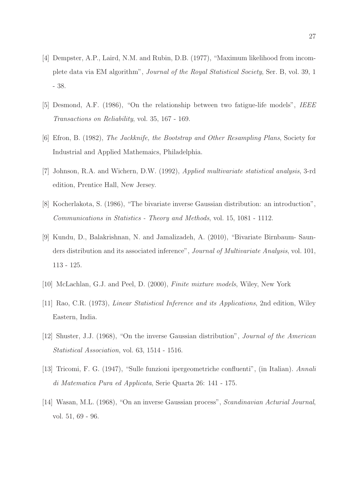- [4] Dempster, A.P., Laird, N.M. and Rubin, D.B. (1977), "Maximum likelihood from incomplete data via EM algorithm", Journal of the Royal Statistical Society, Ser. B, vol. 39, 1 - 38.
- [5] Desmond, A.F. (1986), "On the relationship between two fatigue-life models", IEEE Transactions on Reliability, vol. 35, 167 - 169.
- [6] Efron, B. (1982), The Jackknife, the Bootstrap and Other Resampling Plans, Society for Industrial and Applied Mathemaics, Philadelphia.
- [7] Johnson, R.A. and Wichern, D.W. (1992), Applied multivariate statistical analysis, 3-rd edition, Prentice Hall, New Jersey.
- [8] Kocherlakota, S. (1986), "The bivariate inverse Gaussian distribution: an introduction", Communications in Statistics - Theory and Methods, vol. 15, 1081 - 1112.
- [9] Kundu, D., Balakrishnan, N. and Jamalizadeh, A. (2010), "Bivariate Birnbaum- Saunders distribution and its associated inference", *Journal of Multivariate Analysis*, vol. 101, 113 - 125.
- [10] McLachlan, G.J. and Peel, D. (2000), Finite mixture models, Wiley, New York
- [11] Rao, C.R. (1973), Linear Statistical Inference and its Applications, 2nd edition, Wiley Eastern, India.
- [12] Shuster, J.J. (1968), "On the inverse Gaussian distribution", Journal of the American Statistical Association, vol. 63, 1514 - 1516.
- [13] Tricomi, F. G. (1947), "Sulle funzioni ipergeometriche confluenti", (in Italian). Annali di Matematica Pura ed Applicata, Serie Quarta 26: 141 - 175.
- [14] Wasan, M.L. (1968), "On an inverse Gaussian process", Scandinavian Acturial Journal, vol. 51, 69 - 96.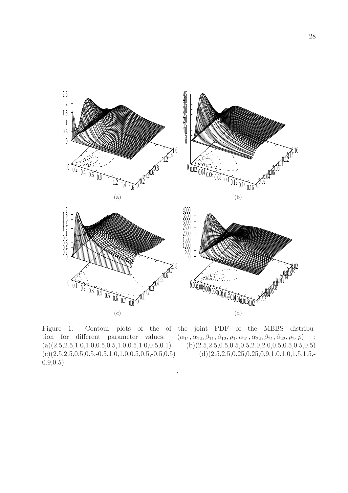

.

Figure 1: Contour plots of the of the joint PDF of the MBBS distribu- $(c)(2.5,2.5,0.5,0.5,-0.5,1.0,1.0,0.5,0.5,-0.5,0.5)$  (d) $(2.5,2.5,0.25,0.25,0.9,1.0,1.0,1.5,1.5,-0.5,0.5,0.5,0.5,0.5,0.5,0.5)$ 0.9,0.5)

tion for different parameter values:  $(\alpha_{11}, \alpha_{12}, \beta_{11}, \beta_{12}, \rho_1, \alpha_{21}, \alpha_{22}, \beta_{21}, \beta_{22}, \rho_2, p)$  :  $(a)(2.5,2.5,1.0,1.0,0.5,0.5,1.0,0.5,1.0,0.5,0.1)$   $(b)(2.5,2.5,0.5,0.5,0.5,2.0,2.0,0.5,0.5,0.5,0.5)$